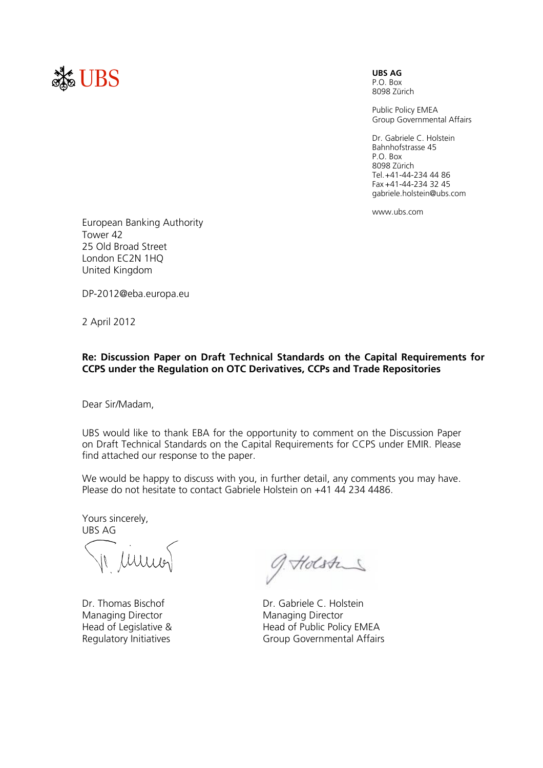

P.O. Box

8098 Zürich

Public Policy EMEA Group Governmental Affairs

Dr. Gabriele C. Holstein Bahnhofstrasse 45 P.O. Box 8098 Zürich Tel. +41-44-234 44 86 Fax +41-44-234 32 45 gabriele.holstein@ubs.com

www.ubs.com

European Banking Authority Tower 42 25 Old Broad Street London EC2N 1HQ United Kingdom

DP-2012@eba.europa.eu

2 April 2012

#### **Re: Discussion Paper on Draft Technical Standards on the Capital Requirements for CCPS under the Regulation on OTC Derivatives, CCPs and Trade Repositories**

Dear Sir/Madam,

UBS would like to thank EBA for the opportunity to comment on the Discussion Paper on Draft Technical Standards on the Capital Requirements for CCPS under EMIR. Please find attached our response to the paper.

We would be happy to discuss with you, in further detail, any comments you may have. Please do not hesitate to contact Gabriele Holstein on +41 44 234 4486.

Yours sincerely, UBS AG

in unico

Managing Director Managing Director Head of Legislative & Regulatory Initiatives

Tolster

Dr. Thomas Bischof Dr. Gabriele C. Holstein Head of Public Policy EMEA Group Governmental Affairs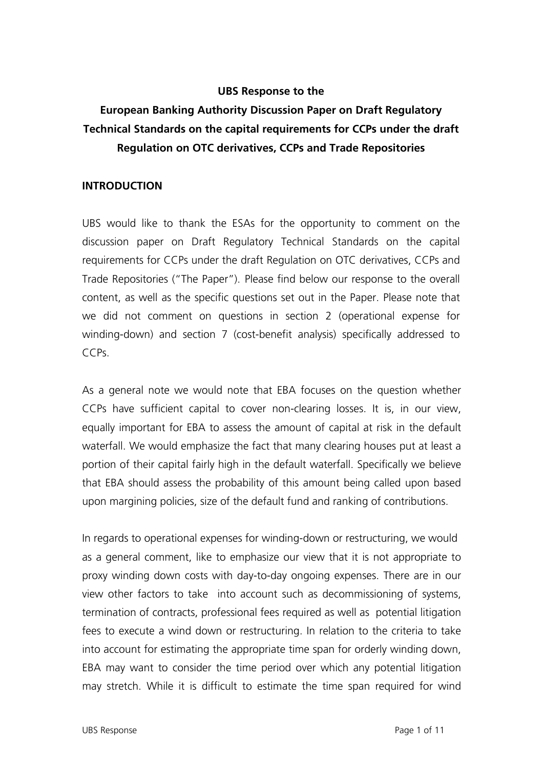#### **UBS Response to the**

# **European Banking Authority Discussion Paper on Draft Regulatory Technical Standards on the capital requirements for CCPs under the draft Regulation on OTC derivatives, CCPs and Trade Repositories**

#### **INTRODUCTION**

UBS would like to thank the ESAs for the opportunity to comment on the discussion paper on Draft Regulatory Technical Standards on the capital requirements for CCPs under the draft Regulation on OTC derivatives, CCPs and Trade Repositories ("The Paper"). Please find below our response to the overall content, as well as the specific questions set out in the Paper. Please note that we did not comment on questions in section 2 (operational expense for winding-down) and section 7 (cost-benefit analysis) specifically addressed to CCPs.

As a general note we would note that EBA focuses on the question whether CCPs have sufficient capital to cover non-clearing losses. It is, in our view, equally important for EBA to assess the amount of capital at risk in the default waterfall. We would emphasize the fact that many clearing houses put at least a portion of their capital fairly high in the default waterfall. Specifically we believe that EBA should assess the probability of this amount being called upon based upon margining policies, size of the default fund and ranking of contributions.

In regards to operational expenses for winding-down or restructuring, we would as a general comment, like to emphasize our view that it is not appropriate to proxy winding down costs with day-to-day ongoing expenses. There are in our view other factors to take into account such as decommissioning of systems, termination of contracts, professional fees required as well as potential litigation fees to execute a wind down or restructuring. In relation to the criteria to take into account for estimating the appropriate time span for orderly winding down, EBA may want to consider the time period over which any potential litigation may stretch. While it is difficult to estimate the time span required for wind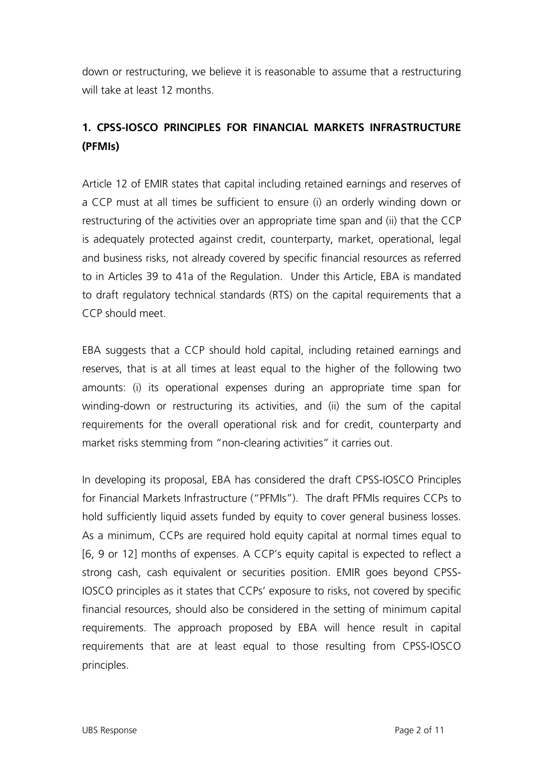down or restructuring, we believe it is reasonable to assume that a restructuring will take at least 12 months.

### **1. CPSS-IOSCO PRINCIPLES FOR FINANCIAL MARKETS INFRASTRUCTURE (PFMIs)**

Article 12 of EMIR states that capital including retained earnings and reserves of a CCP must at all times be sufficient to ensure (i) an orderly winding down or restructuring of the activities over an appropriate time span and (ii) that the CCP is adequately protected against credit, counterparty, market, operational, legal and business risks, not already covered by specific financial resources as referred to in Articles 39 to 41a of the Regulation. Under this Article, EBA is mandated to draft regulatory technical standards (RTS) on the capital requirements that a CCP should meet.

EBA suggests that a CCP should hold capital, including retained earnings and reserves, that is at all times at least equal to the higher of the following two amounts: (i) its operational expenses during an appropriate time span for winding-down or restructuring its activities, and (ii) the sum of the capital requirements for the overall operational risk and for credit, counterparty and market risks stemming from "non-clearing activities" it carries out.

In developing its proposal, EBA has considered the draft CPSS-IOSCO Principles for Financial Markets Infrastructure ("PFMIs"). The draft PFMIs requires CCPs to hold sufficiently liquid assets funded by equity to cover general business losses. As a minimum, CCPs are required hold equity capital at normal times equal to [6, 9 or 12] months of expenses. A CCP's equity capital is expected to reflect a strong cash, cash equivalent or securities position. EMIR goes beyond CPSS-IOSCO principles as it states that CCPs' exposure to risks, not covered by specific financial resources, should also be considered in the setting of minimum capital requirements. The approach proposed by EBA will hence result in capital requirements that are at least equal to those resulting from CPSS-IOSCO principles.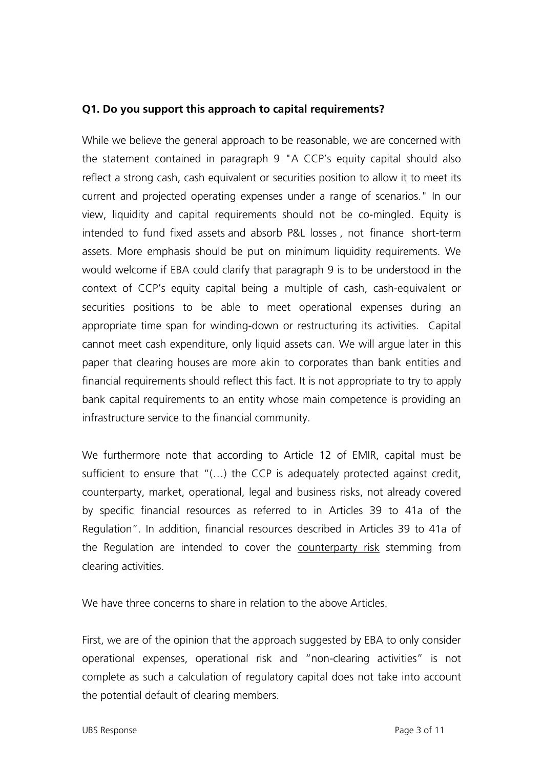#### **Q1. Do you support this approach to capital requirements?**

While we believe the general approach to be reasonable, we are concerned with the statement contained in paragraph 9 "A CCP's equity capital should also reflect a strong cash, cash equivalent or securities position to allow it to meet its current and projected operating expenses under a range of scenarios." In our view, liquidity and capital requirements should not be co-mingled. Equity is intended to fund fixed assets and absorb P&L losses , not finance short-term assets. More emphasis should be put on minimum liquidity requirements. We would welcome if EBA could clarify that paragraph 9 is to be understood in the context of CCP's equity capital being a multiple of cash, cash-equivalent or securities positions to be able to meet operational expenses during an appropriate time span for winding-down or restructuring its activities. Capital cannot meet cash expenditure, only liquid assets can. We will argue later in this paper that clearing houses are more akin to corporates than bank entities and financial requirements should reflect this fact. It is not appropriate to try to apply bank capital requirements to an entity whose main competence is providing an infrastructure service to the financial community.

We furthermore note that according to Article 12 of EMIR, capital must be sufficient to ensure that "(…) the CCP is adequately protected against credit, counterparty, market, operational, legal and business risks, not already covered by specific financial resources as referred to in Articles 39 to 41a of the Regulation". In addition, financial resources described in Articles 39 to 41a of the Regulation are intended to cover the counterparty risk stemming from clearing activities.

We have three concerns to share in relation to the above Articles

First, we are of the opinion that the approach suggested by EBA to only consider operational expenses, operational risk and "non-clearing activities" is not complete as such a calculation of regulatory capital does not take into account the potential default of clearing members.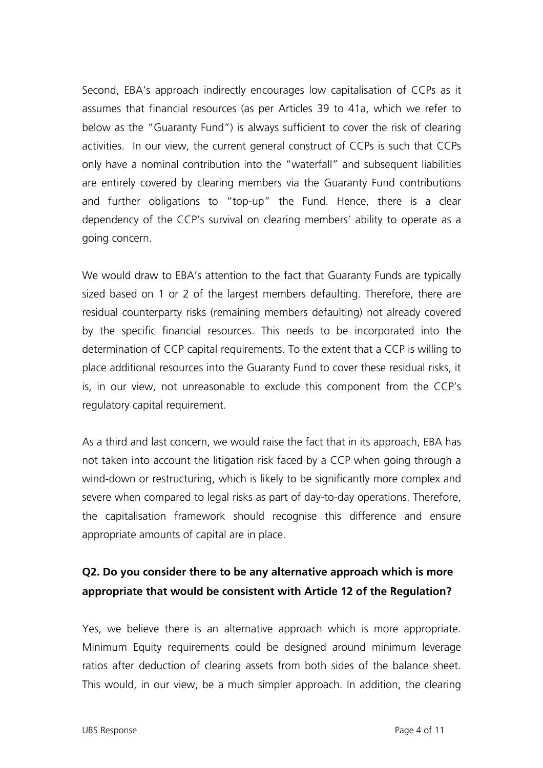Second, EBA's approach indirectly encourages low capitalisation of CCPs as it assumes that financial resources (as per Articles 39 to 41a, which we refer to below as the "Guaranty Fund") is always sufficient to cover the risk of clearing activities. In our view, the current general construct of CCPs is such that CCPs only have a nominal contribution into the "waterfall" and subsequent liabilities are entirely covered by clearing members via the Guaranty Fund contributions and further obligations to "top-up" the Fund. Hence, there is a clear dependency of the CCP's survival on clearing members' ability to operate as a going concern.

We would draw to EBA's attention to the fact that Guaranty Funds are typically sized based on 1 or 2 of the largest members defaulting. Therefore, there are residual counterparty risks (remaining members defaulting) not already covered by the specific financial resources. This needs to be incorporated into the determination of CCP capital requirements. To the extent that a CCP is willing to place additional resources into the Guaranty Fund to cover these residual risks, it is, in our view, not unreasonable to exclude this component from the CCP's regulatory capital requirement.

As a third and last concern, we would raise the fact that in its approach, EBA has not taken into account the litigation risk faced by a CCP when going through a wind-down or restructuring, which is likely to be significantly more complex and severe when compared to legal risks as part of day-to-day operations. Therefore, the capitalisation framework should recognise this difference and ensure appropriate amounts of capital are in place.

### **Q2. Do you consider there to be any alternative approach which is more appropriate that would be consistent with Article 12 of the Regulation?**

Yes, we believe there is an alternative approach which is more appropriate. Minimum Equity requirements could be designed around minimum leverage ratios after deduction of clearing assets from both sides of the balance sheet. This would, in our view, be a much simpler approach. In addition, the clearing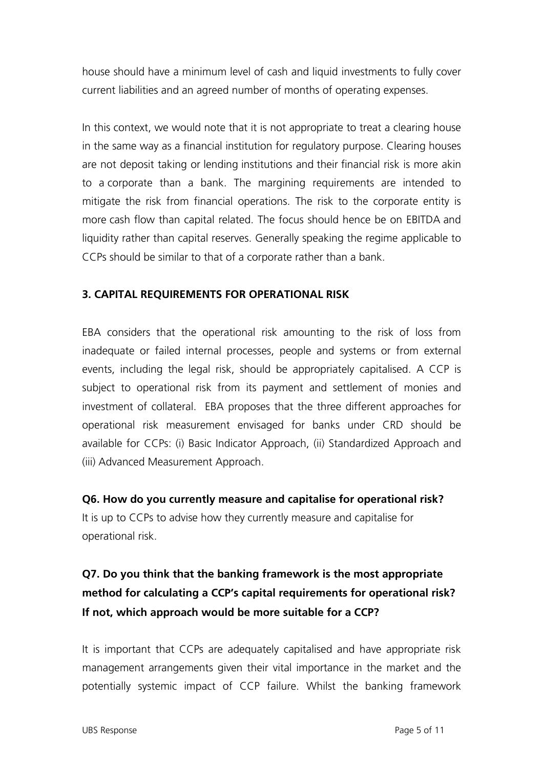house should have a minimum level of cash and liquid investments to fully cover current liabilities and an agreed number of months of operating expenses.

In this context, we would note that it is not appropriate to treat a clearing house in the same way as a financial institution for regulatory purpose. Clearing houses are not deposit taking or lending institutions and their financial risk is more akin to a corporate than a bank. The margining requirements are intended to mitigate the risk from financial operations. The risk to the corporate entity is more cash flow than capital related. The focus should hence be on EBITDA and liquidity rather than capital reserves. Generally speaking the regime applicable to CCPs should be similar to that of a corporate rather than a bank.

#### **3. CAPITAL REQUIREMENTS FOR OPERATIONAL RISK**

EBA considers that the operational risk amounting to the risk of loss from inadequate or failed internal processes, people and systems or from external events, including the legal risk, should be appropriately capitalised. A CCP is subject to operational risk from its payment and settlement of monies and investment of collateral. EBA proposes that the three different approaches for operational risk measurement envisaged for banks under CRD should be available for CCPs: (i) Basic Indicator Approach, (ii) Standardized Approach and (iii) Advanced Measurement Approach.

**Q6. How do you currently measure and capitalise for operational risk?**  It is up to CCPs to advise how they currently measure and capitalise for operational risk.

## **Q7. Do you think that the banking framework is the most appropriate method for calculating a CCP's capital requirements for operational risk? If not, which approach would be more suitable for a CCP?**

It is important that CCPs are adequately capitalised and have appropriate risk management arrangements given their vital importance in the market and the potentially systemic impact of CCP failure. Whilst the banking framework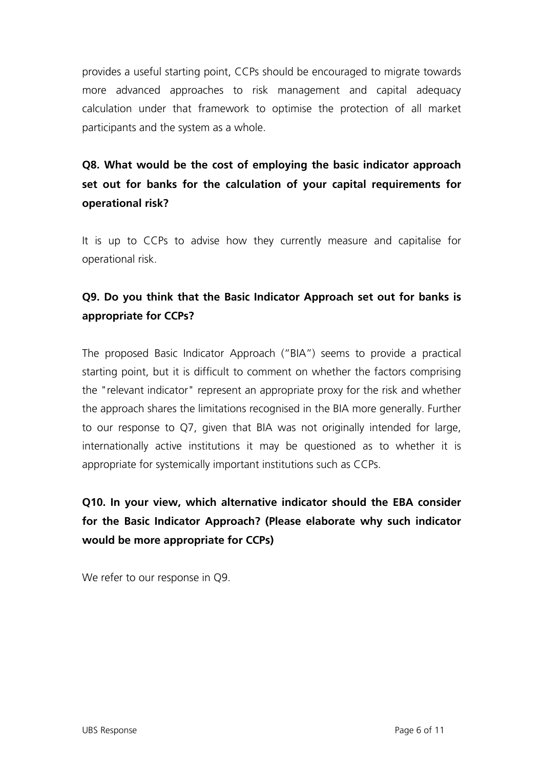provides a useful starting point, CCPs should be encouraged to migrate towards more advanced approaches to risk management and capital adequacy calculation under that framework to optimise the protection of all market participants and the system as a whole.

## **Q8. What would be the cost of employing the basic indicator approach set out for banks for the calculation of your capital requirements for operational risk?**

It is up to CCPs to advise how they currently measure and capitalise for operational risk.

### **Q9. Do you think that the Basic Indicator Approach set out for banks is appropriate for CCPs?**

The proposed Basic Indicator Approach ("BIA") seems to provide a practical starting point, but it is difficult to comment on whether the factors comprising the "relevant indicator" represent an appropriate proxy for the risk and whether the approach shares the limitations recognised in the BIA more generally. Further to our response to Q7, given that BIA was not originally intended for large, internationally active institutions it may be questioned as to whether it is appropriate for systemically important institutions such as CCPs.

## **Q10. In your view, which alternative indicator should the EBA consider for the Basic Indicator Approach? (Please elaborate why such indicator would be more appropriate for CCPs)**

We refer to our response in Q9.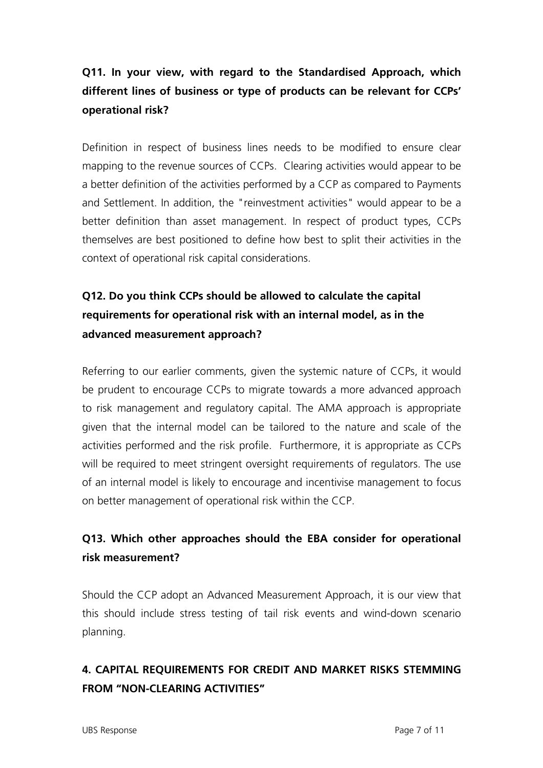## **Q11. In your view, with regard to the Standardised Approach, which different lines of business or type of products can be relevant for CCPs' operational risk?**

Definition in respect of business lines needs to be modified to ensure clear mapping to the revenue sources of CCPs. Clearing activities would appear to be a better definition of the activities performed by a CCP as compared to Payments and Settlement. In addition, the "reinvestment activities" would appear to be a better definition than asset management. In respect of product types, CCPs themselves are best positioned to define how best to split their activities in the context of operational risk capital considerations.

## **Q12. Do you think CCPs should be allowed to calculate the capital requirements for operational risk with an internal model, as in the advanced measurement approach?**

Referring to our earlier comments, given the systemic nature of CCPs, it would be prudent to encourage CCPs to migrate towards a more advanced approach to risk management and regulatory capital. The AMA approach is appropriate given that the internal model can be tailored to the nature and scale of the activities performed and the risk profile. Furthermore, it is appropriate as CCPs will be required to meet stringent oversight requirements of requiators. The use of an internal model is likely to encourage and incentivise management to focus on better management of operational risk within the CCP.

### **Q13. Which other approaches should the EBA consider for operational risk measurement?**

Should the CCP adopt an Advanced Measurement Approach, it is our view that this should include stress testing of tail risk events and wind-down scenario planning.

## **4. CAPITAL REQUIREMENTS FOR CREDIT AND MARKET RISKS STEMMING FROM "NON-CLEARING ACTIVITIES"**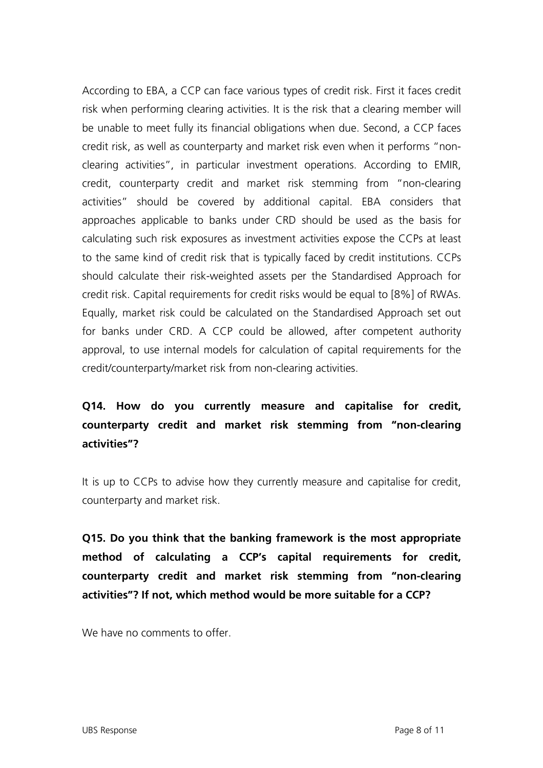According to EBA, a CCP can face various types of credit risk. First it faces credit risk when performing clearing activities. It is the risk that a clearing member will be unable to meet fully its financial obligations when due. Second, a CCP faces credit risk, as well as counterparty and market risk even when it performs "nonclearing activities", in particular investment operations. According to EMIR, credit, counterparty credit and market risk stemming from "non-clearing activities" should be covered by additional capital. EBA considers that approaches applicable to banks under CRD should be used as the basis for calculating such risk exposures as investment activities expose the CCPs at least to the same kind of credit risk that is typically faced by credit institutions. CCPs should calculate their risk-weighted assets per the Standardised Approach for credit risk. Capital requirements for credit risks would be equal to [8%] of RWAs. Equally, market risk could be calculated on the Standardised Approach set out for banks under CRD. A CCP could be allowed, after competent authority approval, to use internal models for calculation of capital requirements for the credit/counterparty/market risk from non-clearing activities.

## **Q14. How do you currently measure and capitalise for credit, counterparty credit and market risk stemming from "non-clearing activities"?**

It is up to CCPs to advise how they currently measure and capitalise for credit, counterparty and market risk.

**Q15. Do you think that the banking framework is the most appropriate method of calculating a CCP's capital requirements for credit, counterparty credit and market risk stemming from "non-clearing activities"? If not, which method would be more suitable for a CCP?** 

We have no comments to offer.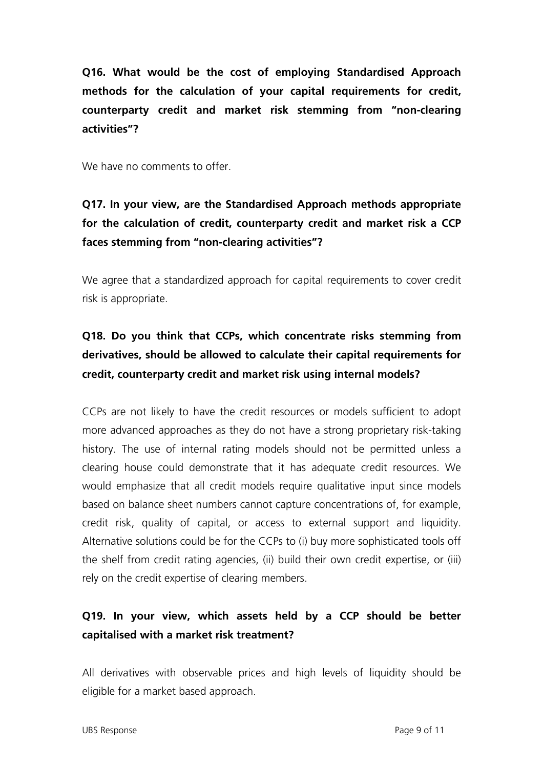**Q16. What would be the cost of employing Standardised Approach methods for the calculation of your capital requirements for credit, counterparty credit and market risk stemming from "non-clearing activities"?** 

We have no comments to offer.

## **Q17. In your view, are the Standardised Approach methods appropriate for the calculation of credit, counterparty credit and market risk a CCP faces stemming from "non-clearing activities"?**

We agree that a standardized approach for capital requirements to cover credit risk is appropriate.

# **Q18. Do you think that CCPs, which concentrate risks stemming from derivatives, should be allowed to calculate their capital requirements for credit, counterparty credit and market risk using internal models?**

CCPs are not likely to have the credit resources or models sufficient to adopt more advanced approaches as they do not have a strong proprietary risk-taking history. The use of internal rating models should not be permitted unless a clearing house could demonstrate that it has adequate credit resources. We would emphasize that all credit models require qualitative input since models based on balance sheet numbers cannot capture concentrations of, for example, credit risk, quality of capital, or access to external support and liquidity. Alternative solutions could be for the CCPs to (i) buy more sophisticated tools off the shelf from credit rating agencies, (ii) build their own credit expertise, or (iii) rely on the credit expertise of clearing members.

### **Q19. In your view, which assets held by a CCP should be better capitalised with a market risk treatment?**

All derivatives with observable prices and high levels of liquidity should be eligible for a market based approach.